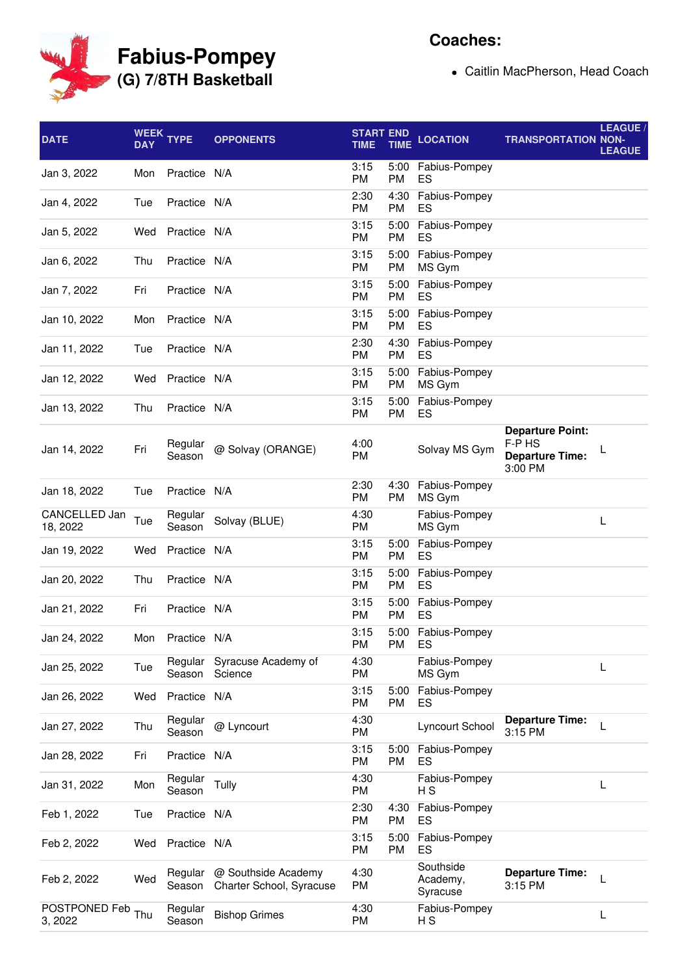

## **Coaches:**

Caitlin MacPherson, Head Coach

| <b>DATE</b>               | <b>DAY</b> | WEEK TYPE         | <b>OPPONENTS</b>                                | <b>START END</b><br><b>TIME</b> | <b>TIME</b>       | <b>LOCATION</b>                   | <b>TRANSPORTATION NON-</b>                                             | LEAGUE /<br><b>LEAGUE</b> |
|---------------------------|------------|-------------------|-------------------------------------------------|---------------------------------|-------------------|-----------------------------------|------------------------------------------------------------------------|---------------------------|
| Jan 3, 2022               | Mon        | Practice N/A      |                                                 | 3:15<br><b>PM</b>               | 5:00<br><b>PM</b> | Fabius-Pompey<br>ES               |                                                                        |                           |
| Jan 4, 2022               | Tue        | Practice N/A      |                                                 | 2:30<br><b>PM</b>               | 4:30<br><b>PM</b> | Fabius-Pompey<br>ES               |                                                                        |                           |
| Jan 5, 2022               | Wed        | Practice N/A      |                                                 | 3:15<br>PM                      | 5:00<br>PM        | Fabius-Pompey<br>ES               |                                                                        |                           |
| Jan 6, 2022               | Thu        | Practice N/A      |                                                 | 3:15<br>PM                      | 5:00<br>PM        | Fabius-Pompey<br>MS Gym           |                                                                        |                           |
| Jan 7, 2022               | Fri        | Practice N/A      |                                                 | 3:15<br><b>PM</b>               | 5:00<br><b>PM</b> | Fabius-Pompey<br>ES               |                                                                        |                           |
| Jan 10, 2022              | Mon        | Practice N/A      |                                                 | 3:15<br><b>PM</b>               | 5:00<br><b>PM</b> | Fabius-Pompey<br>ES               |                                                                        |                           |
| Jan 11, 2022              | Tue        | Practice N/A      |                                                 | 2:30<br>PM                      | 4:30<br><b>PM</b> | Fabius-Pompey<br>ES               |                                                                        |                           |
| Jan 12, 2022              | Wed        | Practice N/A      |                                                 | 3:15<br>PM                      | 5:00<br><b>PM</b> | Fabius-Pompey<br>MS Gym           |                                                                        |                           |
| Jan 13, 2022              | Thu        | Practice N/A      |                                                 | 3:15<br><b>PM</b>               | 5:00<br><b>PM</b> | Fabius-Pompey<br>ES               |                                                                        |                           |
| Jan 14, 2022              | Fri        | Regular<br>Season | @ Solvay (ORANGE)                               | 4:00<br><b>PM</b>               |                   | Solvay MS Gym                     | <b>Departure Point:</b><br>F-P HS<br><b>Departure Time:</b><br>3:00 PM | L                         |
| Jan 18, 2022              | Tue        | Practice N/A      |                                                 | 2:30<br><b>PM</b>               | 4:30<br><b>PM</b> | Fabius-Pompey<br>MS Gym           |                                                                        |                           |
| CANCELLED Jan<br>18, 2022 | Tue        | Regular<br>Season | Solvay (BLUE)                                   | 4:30<br>PM                      |                   | Fabius-Pompey<br>MS Gym           |                                                                        | L                         |
| Jan 19, 2022              | Wed        | Practice N/A      |                                                 | 3:15<br><b>PM</b>               | 5:00<br><b>PM</b> | Fabius-Pompey<br>ES               |                                                                        |                           |
| Jan 20, 2022              | Thu        | Practice N/A      |                                                 | 3:15<br>PM                      | 5:00<br><b>PM</b> | Fabius-Pompey<br>ES               |                                                                        |                           |
| Jan 21, 2022              | Fri        | Practice N/A      |                                                 | 3:15<br><b>PM</b>               | 5:00<br>PM        | Fabius-Pompey<br>ES               |                                                                        |                           |
| Jan 24, 2022              | Mon        | Practice N/A      |                                                 | 3:15<br>PM                      | 5:00<br>PM        | Fabius-Pompey<br>ES               |                                                                        |                           |
| Jan 25, 2022              | Tue        | Regular<br>Season | Syracuse Academy of<br>Science                  | 4:30<br>PM                      |                   | Fabius-Pompey<br>MS Gym           |                                                                        | L                         |
| Jan 26, 2022              | Wed        | Practice N/A      |                                                 | 3:15<br>PM                      | 5:00<br>PM        | Fabius-Pompey<br>ES               |                                                                        |                           |
| Jan 27, 2022              | Thu        | Regular<br>Season | @ Lyncourt                                      | 4:30<br>PM                      |                   | Lyncourt School                   | <b>Departure Time:</b><br>3:15 PM                                      | L                         |
| Jan 28, 2022              | Fri        | Practice N/A      |                                                 | 3:15<br>PM                      | 5:00<br>PM        | Fabius-Pompey<br>ES               |                                                                        |                           |
| Jan 31, 2022              | Mon        | Regular<br>Season | Tully                                           | 4:30<br><b>PM</b>               |                   | Fabius-Pompey<br>НS               |                                                                        | L                         |
| Feb 1, 2022               | Tue        | Practice N/A      |                                                 | 2:30<br>PM                      | 4:30<br>PM        | Fabius-Pompey<br>ES               |                                                                        |                           |
| Feb 2, 2022               | Wed        | Practice N/A      |                                                 | 3:15<br>PM                      | 5:00<br>PM        | Fabius-Pompey<br>ES               |                                                                        |                           |
| Feb 2, 2022               | Wed        | Regular<br>Season | @ Southside Academy<br>Charter School, Syracuse | 4:30<br>PM                      |                   | Southside<br>Academy,<br>Syracuse | <b>Departure Time:</b><br>3:15 PM                                      | L                         |
| POSTPONED Feb<br>3, 2022  | Thu        | Regular<br>Season | <b>Bishop Grimes</b>                            | 4:30<br>PM                      |                   | Fabius-Pompey<br>НS               |                                                                        | L                         |